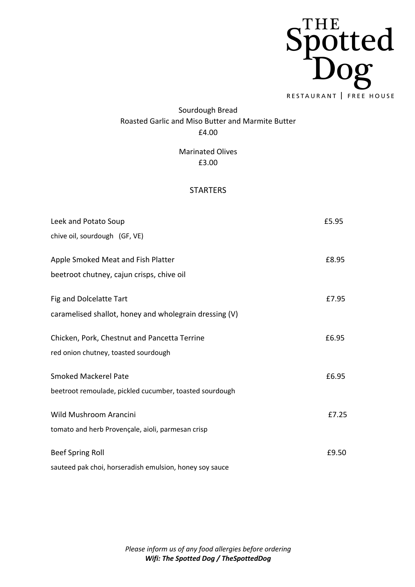

## Sourdough Bread Roasted Garlic and Miso Butter and Marmite Butter £4.00

Marinated Olives £3.00

## STARTERS

| Leek and Potato Soup                                    | £5.95 |
|---------------------------------------------------------|-------|
| chive oil, sourdough (GF, VE)                           |       |
| Apple Smoked Meat and Fish Platter                      | £8.95 |
| beetroot chutney, cajun crisps, chive oil               |       |
| Fig and Dolcelatte Tart                                 | £7.95 |
| caramelised shallot, honey and wholegrain dressing (V)  |       |
| Chicken, Pork, Chestnut and Pancetta Terrine            | £6.95 |
| red onion chutney, toasted sourdough                    |       |
| <b>Smoked Mackerel Pate</b>                             | £6.95 |
| beetroot remoulade, pickled cucumber, toasted sourdough |       |
| Wild Mushroom Arancini                                  | £7.25 |
| tomato and herb Provençale, aioli, parmesan crisp       |       |
| <b>Beef Spring Roll</b>                                 | £9.50 |
| couteed pale in increased ich omulaion, honoucou        |       |

sauteed pak choi, horseradish emulsion, honey soy sauce

*Please inform us of any food allergies before ordering Wifi: The Spotted Dog / TheSpottedDog*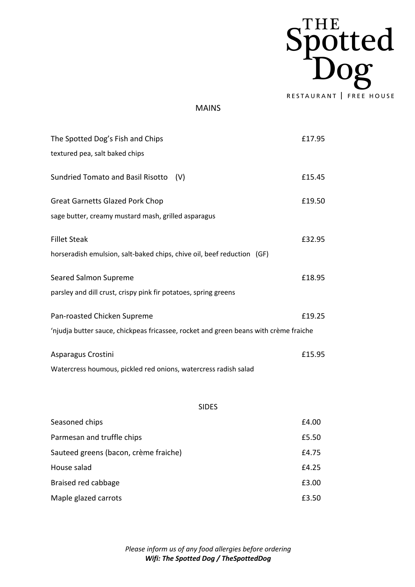

## MAINS

| The Spotted Dog's Fish and Chips                                                     | £17.95 |
|--------------------------------------------------------------------------------------|--------|
| textured pea, salt baked chips                                                       |        |
| <b>Sundried Tomato and Basil Risotto</b><br>(V)                                      | £15.45 |
| <b>Great Garnetts Glazed Pork Chop</b>                                               | £19.50 |
| sage butter, creamy mustard mash, grilled asparagus                                  |        |
| <b>Fillet Steak</b>                                                                  | £32.95 |
| horseradish emulsion, salt-baked chips, chive oil, beef reduction (GF)               |        |
| Seared Salmon Supreme                                                                | £18.95 |
| parsley and dill crust, crispy pink fir potatoes, spring greens                      |        |
| Pan-roasted Chicken Supreme                                                          | £19.25 |
| 'njudja butter sauce, chickpeas fricassee, rocket and green beans with crème fraiche |        |
| Asparagus Crostini                                                                   | £15.95 |
| Watercress houmous, pickled red onions, watercress radish salad                      |        |
|                                                                                      |        |
| <b>SIDES</b>                                                                         |        |

| Seasoned chips                        | £4.00 |
|---------------------------------------|-------|
| Parmesan and truffle chips            | £5.50 |
| Sauteed greens (bacon, crème fraiche) | £4.75 |
| House salad                           | £4.25 |
| Braised red cabbage                   | £3.00 |
| Maple glazed carrots                  | £3.50 |

*Please inform us of any food allergies before ordering Wifi: The Spotted Dog / TheSpottedDog*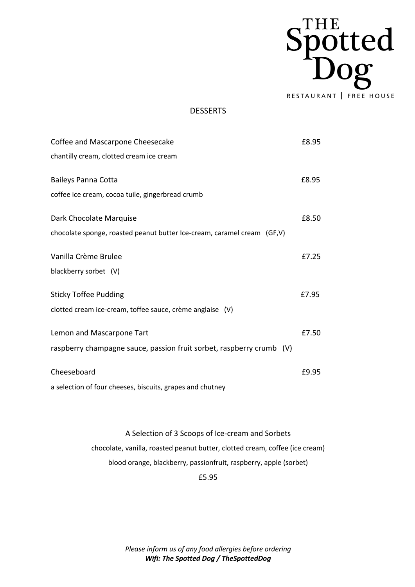

## DESSERTS

| Coffee and Mascarpone Cheesecake                                        | £8.95 |
|-------------------------------------------------------------------------|-------|
| chantilly cream, clotted cream ice cream                                |       |
|                                                                         |       |
| <b>Baileys Panna Cotta</b>                                              | £8.95 |
| coffee ice cream, cocoa tuile, gingerbread crumb                        |       |
| Dark Chocolate Marquise                                                 | £8.50 |
| chocolate sponge, roasted peanut butter Ice-cream, caramel cream (GF,V) |       |
| Vanilla Crème Brulee                                                    | £7.25 |
| blackberry sorbet (V)                                                   |       |
| <b>Sticky Toffee Pudding</b>                                            | £7.95 |
|                                                                         |       |
| clotted cream ice-cream, toffee sauce, crème anglaise (V)               |       |
| Lemon and Mascarpone Tart                                               | £7.50 |
| raspberry champagne sauce, passion fruit sorbet, raspberry crumb (V)    |       |
| Cheeseboard                                                             | £9.95 |
|                                                                         |       |
| a selection of four cheeses, biscuits, grapes and chutney               |       |

A Selection of 3 Scoops of Ice-cream and Sorbets chocolate, vanilla, roasted peanut butter, clotted cream, coffee (ice cream) blood orange, blackberry, passionfruit, raspberry, apple (sorbet)

£5.95

*Please inform us of any food allergies before ordering Wifi: The Spotted Dog / TheSpottedDog*